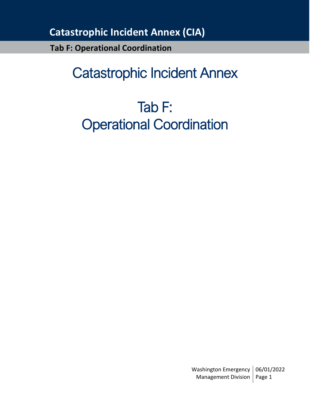**Tab F: Operational Coordination**

# Catastrophic Incident Annex

# Tab F: Operational Coordination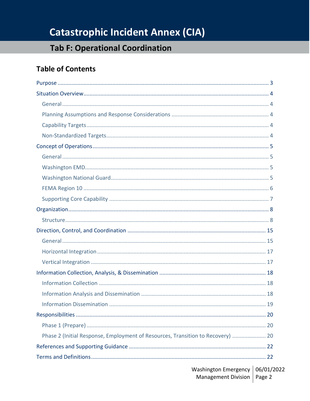## **Tab F: Operational Coordination**

### **Table of Contents**

| Phase 2 (Initial Response, Employment of Resources, Transition to Recovery)  20 |
|---------------------------------------------------------------------------------|
|                                                                                 |
|                                                                                 |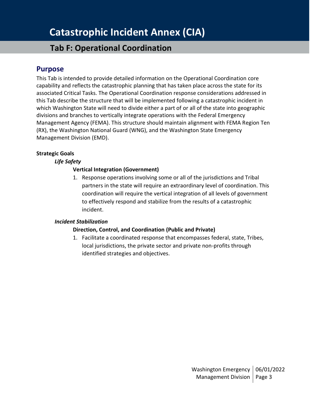## **Tab F: Operational Coordination**

### <span id="page-2-0"></span>**Purpose**

This Tab is intended to provide detailed information on the Operational Coordination core capability and reflects the catastrophic planning that has taken place across the state for its associated Critical Tasks. The Operational Coordination response considerations addressed in this Tab describe the structure that will be implemented following a catastrophic incident in which Washington State will need to divide either a part of or all of the state into geographic divisions and branches to vertically integrate operations with the Federal Emergency Management Agency (FEMA). This structure should maintain alignment with FEMA Region Ten (RX), the Washington National Guard (WNG), and the Washington State Emergency Management Division (EMD).

### **Strategic Goals**

### *Life Safety*

### **Vertical Integration (Government)**

1. Response operations involving some or all of the jurisdictions and Tribal partners in the state will require an extraordinary level of coordination. This coordination will require the vertical integration of all levels of government to effectively respond and stabilize from the results of a catastrophic incident.

### *Incident Stabilization*

### **Direction, Control, and Coordination (Public and Private)**

1. Facilitate a coordinated response that encompasses federal, state, Tribes, local jurisdictions, the private sector and private non-profits through identified strategies and objectives.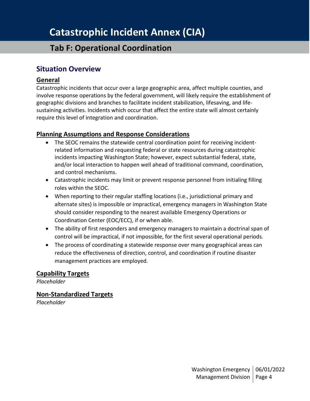## **Tab F: Operational Coordination**

### <span id="page-3-0"></span>**Situation Overview**

### <span id="page-3-1"></span>**General**

Catastrophic incidents that occur over a large geographic area, affect multiple counties, and involve response operations by the federal government, will likely require the establishment of geographic divisions and branches to facilitate incident stabilization, lifesaving, and lifesustaining activities. Incidents which occur that affect the entire state will almost certainly require this level of integration and coordination.

### <span id="page-3-2"></span>**Planning Assumptions and Response Considerations**

- The SEOC remains the statewide central coordination point for receiving incidentrelated information and requesting federal or state resources during catastrophic incidents impacting Washington State; however, expect substantial federal, state, and/or local interaction to happen well ahead of traditional command, coordination, and control mechanisms.
- Catastrophic incidents may limit or prevent response personnel from initialing filling roles within the SEOC.
- When reporting to their regular staffing locations (i.e., jurisdictional primary and alternate sites) is impossible or impractical, emergency managers in Washington State should consider responding to the nearest available Emergency Operations or Coordination Center (EOC/ECC), if or when able.
- The ability of first responders and emergency managers to maintain a doctrinal span of control will be impractical, if not impossible, for the first several operational periods.
- The process of coordinating a statewide response over many geographical areas can reduce the effectiveness of direction, control, and coordination if routine disaster management practices are employed.

### <span id="page-3-3"></span>**Capability Targets**

*Placeholder*

<span id="page-3-4"></span>**Non-Standardized Targets**

*Placeholder*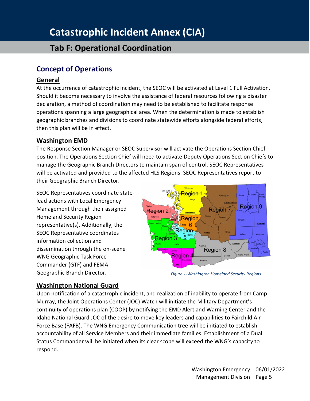## **Tab F: Operational Coordination**

### <span id="page-4-0"></span>**Concept of Operations**

### <span id="page-4-1"></span>**General**

At the occurrence of catastrophic incident, the SEOC will be activated at Level 1 Full Activation. Should it become necessary to involve the assistance of federal resources following a disaster declaration, a method of coordination may need to be established to facilitate response operations spanning a large geographical area. When the determination is made to establish geographic branches and divisions to coordinate statewide efforts alongside federal efforts, then this plan will be in effect.

### <span id="page-4-2"></span>**Washington EMD**

The Response Section Manager or SEOC Supervisor will activate the Operations Section Chief position. The Operations Section Chief will need to activate Deputy Operations Section Chiefs to manage the Geographic Branch Directors to maintain span of control. SEOC Representatives will be activated and provided to the affected HLS Regions. SEOC Representatives report to their Geographic Branch Director.

SEOC Representatives coordinate statelead actions with Local Emergency Management through their assigned Homeland Security Region representative(s). Additionally, the SEOC Representative coordinates information collection and dissemination through the on-scene WNG Geographic Task Force Commander (GTF) and FEMA Geographic Branch Director.



*Figure 1-Washington Homeland Security Regions*

### <span id="page-4-3"></span>**Washington National Guard**

Upon notification of a catastrophic incident, and realization of inability to operate from Camp Murray, the Joint Operations Center (JOC) Watch will initiate the Military Department's continuity of operations plan (COOP) by notifying the EMD Alert and Warning Center and the Idaho National Guard JOC of the desire to move key leaders and capabilities to Fairchild Air Force Base (FAFB). The WNG Emergency Communication tree will be initiated to establish accountability of all Service Members and their immediate families. Establishment of a Dual Status Commander will be initiated when its clear scope will exceed the WNG's capacity to respond.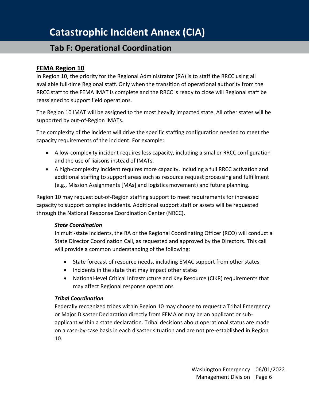## **Tab F: Operational Coordination**

### <span id="page-5-0"></span>**FEMA Region 10**

In Region 10, the priority for the Regional Administrator (RA) is to staff the RRCC using all available full-time Regional staff. Only when the transition of operational authority from the RRCC staff to the FEMA IMAT is complete and the RRCC is ready to close will Regional staff be reassigned to support field operations.

The Region 10 IMAT will be assigned to the most heavily impacted state. All other states will be supported by out-of-Region IMATs.

The complexity of the incident will drive the specific staffing configuration needed to meet the capacity requirements of the incident. For example:

- A low-complexity incident requires less capacity, including a smaller RRCC configuration and the use of liaisons instead of IMATs.
- A high-complexity incident requires more capacity, including a full RRCC activation and additional staffing to support areas such as resource request processing and fulfillment (e.g., Mission Assignments [MAs] and logistics movement) and future planning.

Region 10 may request out-of-Region staffing support to meet requirements for increased capacity to support complex incidents. Additional support staff or assets will be requested through the National Response Coordination Center (NRCC).

#### *State Coordination*

In multi-state incidents, the RA or the Regional Coordinating Officer (RCO) will conduct a State Director Coordination Call, as requested and approved by the Directors. This call will provide a common understanding of the following:

- State forecast of resource needs, including EMAC support from other states
- Incidents in the state that may impact other states
- National-level Critical Infrastructure and Key Resource (CIKR) requirements that may affect Regional response operations

### *Tribal Coordination*

Federally recognized tribes within Region 10 may choose to request a Tribal Emergency or Major Disaster Declaration directly from FEMA or may be an applicant or subapplicant within a state declaration. Tribal decisions about operational status are made on a case-by-case basis in each disaster situation and are not pre-established in Region 10.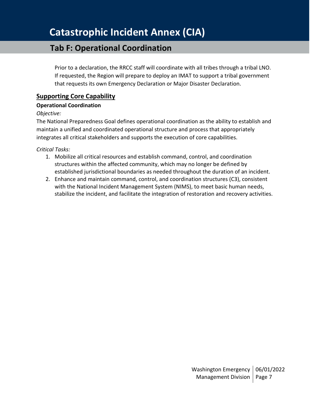## **Tab F: Operational Coordination**

Prior to a declaration, the RRCC staff will coordinate with all tribes through a tribal LNO. If requested, the Region will prepare to deploy an IMAT to support a tribal government that requests its own Emergency Declaration or Major Disaster Declaration.

### <span id="page-6-0"></span>**Supporting Core Capability**

### **Operational Coordination**

### *Objective:*

The National Preparedness Goal defines operational coordination as the ability to establish and maintain a unified and coordinated operational structure and process that appropriately integrates all critical stakeholders and supports the execution of core capabilities.

*Critical Tasks:*

- 1. Mobilize all critical resources and establish command, control, and coordination structures within the affected community, which may no longer be defined by established jurisdictional boundaries as needed throughout the duration of an incident.
- 2. Enhance and maintain command, control, and coordination structures (C3), consistent with the National Incident Management System (NIMS), to meet basic human needs, stabilize the incident, and facilitate the integration of restoration and recovery activities.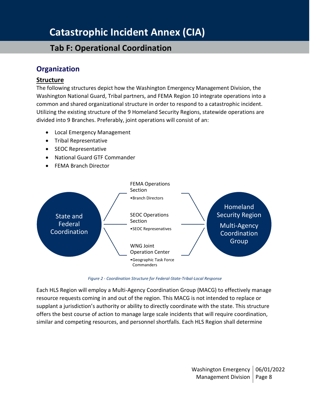## **Tab F: Operational Coordination**

### <span id="page-7-0"></span>**Organization**

### <span id="page-7-1"></span>**Structure**

The following structures depict how the Washington Emergency Management Division, the Washington National Guard, Tribal partners, and FEMA Region 10 integrate operations into a common and shared organizational structure in order to respond to a catastrophic incident. Utilizing the existing structure of the 9 Homeland Security Regions, statewide operations are divided into 9 Branches. Preferably, joint operations will consist of an:

- Local Emergency Management
- Tribal Representative
- SEOC Representative
- National Guard GTF Commander
- FEMA Branch Director



*Figure 2 - Coordination Structure for Federal-State-Tribal-Local Response*

Each HLS Region will employ a Multi-Agency Coordination Group (MACG) to effectively manage resource requests coming in and out of the region. This MACG is not intended to replace or supplant a jurisdiction's authority or ability to directly coordinate with the state. This structure offers the best course of action to manage large scale incidents that will require coordination, similar and competing resources, and personnel shortfalls. Each HLS Region shall determine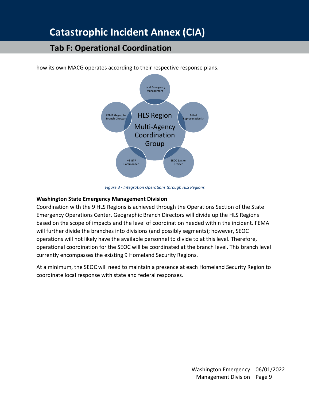### **Tab F: Operational Coordination**



how its own MACG operates according to their respective response plans.

*Figure 3 - Integration Operations through HLS Regions*

#### **Washington State Emergency Management Division**

Coordination with the 9 HLS Regions is achieved through the Operations Section of the State Emergency Operations Center. Geographic Branch Directors will divide up the HLS Regions based on the scope of impacts and the level of coordination needed within the incident. FEMA will further divide the branches into divisions (and possibly segments); however, SEOC operations will not likely have the available personnel to divide to at this level. Therefore, operational coordination for the SEOC will be coordinated at the branch level. This branch level currently encompasses the existing 9 Homeland Security Regions.

At a minimum, the SEOC will need to maintain a presence at each Homeland Security Region to coordinate local response with state and federal responses.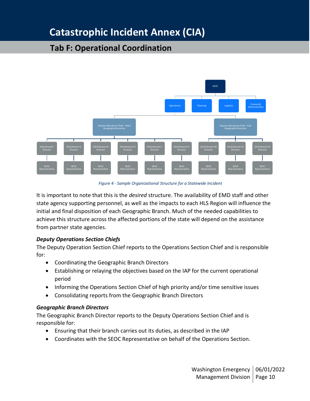## **Tab F: Operational Coordination**



*Figure 4 - Sample Organizational Structure for a Statewide Incident*

It is important to note that this is the *desired* structure. The availability of EMD staff and other state agency supporting personnel, as well as the impacts to each HLS Region will influence the initial and final disposition of each Geographic Branch. Much of the needed capabilities to achieve this structure across the affected portions of the state will depend on the assistance from partner state agencies.

### *Deputy Operations Section Chiefs*

The Deputy Operation Section Chief reports to the Operations Section Chief and is responsible for:

- Coordinating the Geographic Branch Directors
- Establishing or relaying the objectives based on the IAP for the current operational period
- Informing the Operations Section Chief of high priority and/or time sensitive issues
- Consolidating reports from the Geographic Branch Directors

#### *Geographic Branch Directors*

The Geographic Branch Director reports to the Deputy Operations Section Chief and is responsible for:

- Ensuring that their branch carries out its duties, as described in the IAP
- Coordinates with the SEOC Representative on behalf of the Operations Section.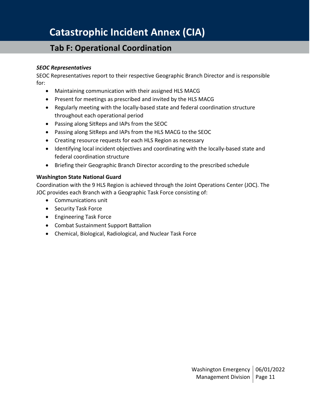## **Tab F: Operational Coordination**

### *SEOC Representatives*

SEOC Representatives report to their respective Geographic Branch Director and is responsible for:

- Maintaining communication with their assigned HLS MACG
- Present for meetings as prescribed and invited by the HLS MACG
- Regularly meeting with the locally-based state and federal coordination structure throughout each operational period
- Passing along SitReps and IAPs from the SEOC
- Passing along SitReps and IAPs from the HLS MACG to the SEOC
- Creating resource requests for each HLS Region as necessary
- Identifying local incident objectives and coordinating with the locally-based state and federal coordination structure
- Briefing their Geographic Branch Director according to the prescribed schedule

#### **Washington State National Guard**

Coordination with the 9 HLS Region is achieved through the Joint Operations Center (JOC). The JOC provides each Branch with a Geographic Task Force consisting of:

- Communications unit
- Security Task Force
- Engineering Task Force
- Combat Sustainment Support Battalion
- Chemical, Biological, Radiological, and Nuclear Task Force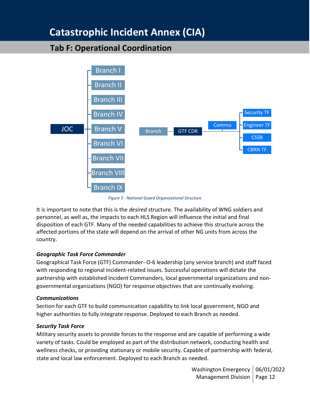### **Tab F: Operational Coordination**



*Figure 5 - National Guard Organizational Structure*

It is important to note that this is the *desired* structure. The availability of WNG soldiers and personnel, as well as, the impacts to each HLS Region will influence the initial and final disposition of each GTF. Many of the needed capabilities to achieve this structure across the affected portions of the state will depend on the arrival of other NG units from across the country.

### *Geographic Task Force Commander*

Geographical Task Force (GTF) Commander- O-6 leadership (any service branch) and staff faced with responding to regional incident-related issues. Successful operations will dictate the partnership with established Incident Commanders, local governmental organizations and nongovernmental organizations (NGO) for response objectives that are continually evolving.

#### *Communications*

Section for each GTF to build communication capability to link local government, NGO and higher authorities to fully integrate response. Deployed to each Branch as needed.

### *Security Task Force*

Military security assets to provide forces to the response and are capable of performing a wide variety of tasks. Could be employed as part of the distribution network, conducting health and wellness checks, or providing stationary or mobile security. Capable of partnership with federal, state and local law enforcement. Deployed to each Branch as needed.

> Washington Emergency | 06/01/2022 Management Division | Page 12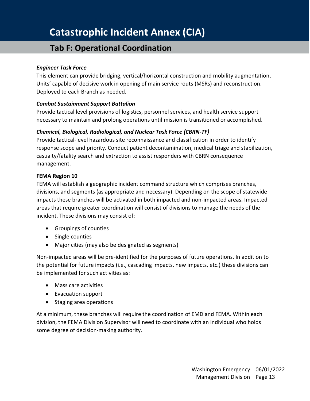## **Tab F: Operational Coordination**

#### *Engineer Task Force*

This element can provide bridging, vertical/horizontal construction and mobility augmentation. Units' capable of decisive work in opening of main service routs (MSRs) and reconstruction. Deployed to each Branch as needed.

#### *Combat Sustainment Support Battalion*

Provide tactical level provisions of logistics, personnel services, and health service support necessary to maintain and prolong operations until mission is transitioned or accomplished.

### *Chemical, Biological, Radiological, and Nuclear Task Force (CBRN-TF)*

Provide tactical-level hazardous site reconnaissance and classification in order to identify response scope and priority. Conduct patient decontamination, medical triage and stabilization, casualty/fatality search and extraction to assist responders with CBRN consequence management.

#### **FEMA Region 10**

FEMA will establish a geographic incident command structure which comprises branches, divisions, and segments (as appropriate and necessary). Depending on the scope of statewide impacts these branches will be activated in both impacted and non-impacted areas. Impacted areas that require greater coordination will consist of divisions to manage the needs of the incident. These divisions may consist of:

- Groupings of counties
- Single counties
- Major cities (may also be designated as segments)

Non-impacted areas will be pre-identified for the purposes of future operations. In addition to the potential for future impacts (i.e., cascading impacts, new impacts, etc.) these divisions can be implemented for such activities as:

- Mass care activities
- Evacuation support
- Staging area operations

At a minimum, these branches will require the coordination of EMD and FEMA. Within each division, the FEMA Division Supervisor will need to coordinate with an individual who holds some degree of decision-making authority.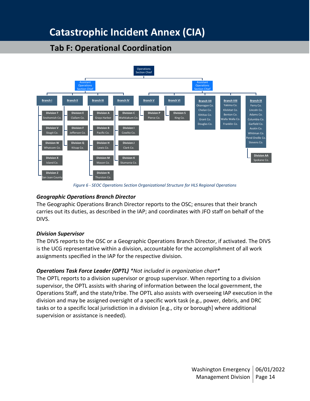## **Tab F: Operational Coordination**



*Figure 6 - SEOC Operations Section Organizational Structure for HLS Regional Operations*

### *Geographic Operations Branch Director*

The Geographic Operations Branch Director reports to the OSC; ensures that their branch carries out its duties, as described in the IAP; and coordinates with JFO staff on behalf of the DIVS.

#### *Division Supervisor*

The DIVS reports to the OSC or a Geographic Operations Branch Director, if activated. The DIVS is the UCG representative within a division, accountable for the accomplishment of all work assignments specified in the IAP for the respective division.

### *Operations Task Force Leader (OPTL) \*Not included in organization chart\**

The OPTL reports to a division supervisor or group supervisor. When reporting to a division supervisor, the OPTL assists with sharing of information between the local government, the Operations Staff, and the state/tribe. The OPTL also assists with overseeing IAP execution in the division and may be assigned oversight of a specific work task (e.g., power, debris, and DRC tasks or to a specific local jurisdiction in a division [e.g., city or borough] where additional supervision or assistance is needed).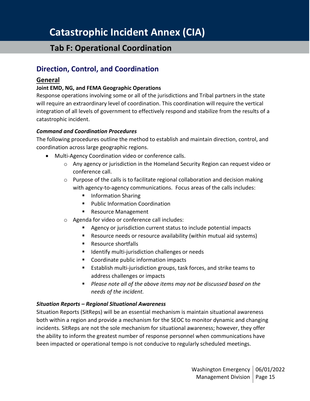### **Tab F: Operational Coordination**

### <span id="page-14-0"></span>**Direction, Control, and Coordination**

### <span id="page-14-1"></span>**General**

### **Joint EMD, NG, and FEMA Geographic Operations**

Response operations involving some or all of the jurisdictions and Tribal partners in the state will require an extraordinary level of coordination. This coordination will require the vertical integration of all levels of government to effectively respond and stabilize from the results of a catastrophic incident.

#### *Command and Coordination Procedures*

The following procedures outline the method to establish and maintain direction, control, and coordination across large geographic regions.

- Multi-Agency Coordination video or conference calls.
	- o Any agency or jurisdiction in the Homeland Security Region can request video or conference call.
	- $\circ$  Purpose of the calls is to facilitate regional collaboration and decision making with agency-to-agency communications. Focus areas of the calls includes:
		- Information Sharing
		- Public Information Coordination
		- Resource Management
	- o Agenda for video or conference call includes:
		- Agency or jurisdiction current status to include potential impacts
		- Resource needs or resource availability (within mutual aid systems)
		- Resource shortfalls
		- Identify multi-jurisdiction challenges or needs
		- Coordinate public information impacts
		- Establish multi-jurisdiction groups, task forces, and strike teams to address challenges or impacts
		- *Please note all of the above items may not be discussed based on the needs of the incident.*

#### *Situation Reports – Regional Situational Awareness*

Situation Reports (SitReps) will be an essential mechanism is maintain situational awareness both within a region and provide a mechanism for the SEOC to monitor dynamic and changing incidents. SitReps are not the sole mechanism for situational awareness; however, they offer the ability to inform the greatest number of response personnel when communications have been impacted or operational tempo is not conducive to regularly scheduled meetings.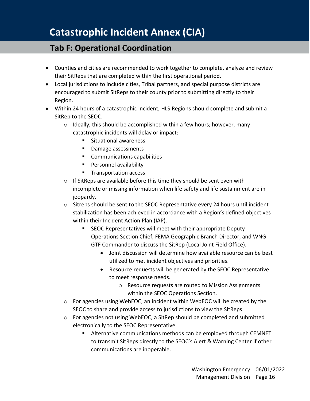## **Tab F: Operational Coordination**

- Counties and cities are recommended to work together to complete, analyze and review their SitReps that are completed within the first operational period.
- Local jurisdictions to include cities, Tribal partners, and special purpose districts are encouraged to submit SitReps to their county prior to submitting directly to their Region.
- Within 24 hours of a catastrophic incident, HLS Regions should complete and submit a SitRep to the SEOC.
	- o Ideally, this should be accomplished within a few hours; however, many catastrophic incidents will delay or impact:
		- Situational awareness
		- Damage assessments
		- Communications capabilities
		- Personnel availability
		- Transportation access
	- o If SitReps are available before this time they should be sent even with incomplete or missing information when life safety and life sustainment are in jeopardy.
	- $\circ$  Sitreps should be sent to the SEOC Representative every 24 hours until incident stabilization has been achieved in accordance with a Region's defined objectives within their Incident Action Plan (IAP).
		- SEOC Representatives will meet with their appropriate Deputy Operations Section Chief, FEMA Geographic Branch Director, and WNG GTF Commander to discuss the SitRep (Local Joint Field Office).
			- Joint discussion will determine how available resource can be best utilized to met incident objectives and priorities.
			- Resource requests will be generated by the SEOC Representative to meet response needs.
				- o Resource requests are routed to Mission Assignments within the SEOC Operations Section.
	- $\circ$  For agencies using WebEOC, an incident within WebEOC will be created by the SEOC to share and provide access to jurisdictions to view the SitReps.
	- o For agencies not using WebEOC, a SitRep should be completed and submitted electronically to the SEOC Representative.
		- Alternative communications methods can be employed through CEMNET to transmit SitReps directly to the SEOC's Alert & Warning Center if other communications are inoperable.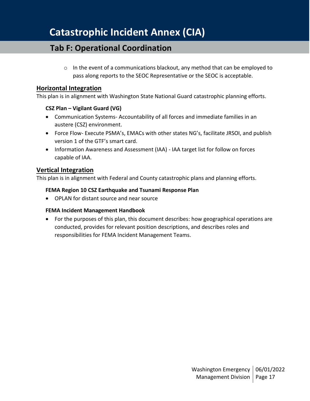## **Tab F: Operational Coordination**

 $\circ$  In the event of a communications blackout, any method that can be employed to pass along reports to the SEOC Representative or the SEOC is acceptable.

### <span id="page-16-0"></span>**Horizontal Integration**

This plan is in alignment with Washington State National Guard catastrophic planning efforts.

### **CSZ Plan – Vigilant Guard (VG)**

- Communication Systems- Accountability of all forces and immediate families in an austere (CSZ) environment.
- Force Flow- Execute PSMA's, EMACs with other states NG's, facilitate JRSOI, and publish version 1 of the GTF's smart card.
- Information Awareness and Assessment (IAA) IAA target list for follow on forces capable of IAA.

### <span id="page-16-1"></span>**Vertical Integration**

This plan is in alignment with Federal and County catastrophic plans and planning efforts.

#### **FEMA Region 10 CSZ Earthquake and Tsunami Response Plan**

• OPLAN for distant source and near source

### **FEMA Incident Management Handbook**

• For the purposes of this plan, this document describes: how geographical operations are conducted, provides for relevant position descriptions, and describes roles and responsibilities for FEMA Incident Management Teams.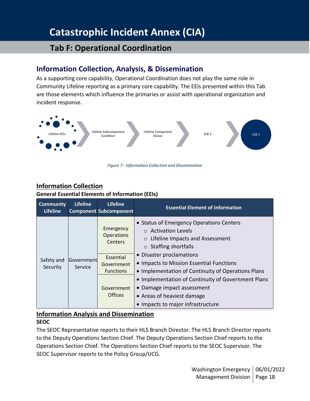### **Tab F: Operational Coordination**

### <span id="page-17-0"></span>**Information Collection, Analysis, & Dissemination**

As a supporting core capability, Operational Coordination does not play the same role in Community Lifeline reporting as a primary core capability. The EEIs presented within this Tab are those elements which influence the primaries or assist with operational organization and incident response.



*Figure 7 - Information Collection and Dissemination*

### <span id="page-17-1"></span>**Information Collection**

### **General Essential Elements of Information (EEIs)**

| <b>Community</b><br><b>Lifeline</b> | <b>Lifeline</b>       | <b>Lifeline</b><br><b>Component Subcomponent</b> | <b>Essential Element of Information</b>                                                                                                                                        |
|-------------------------------------|-----------------------|--------------------------------------------------|--------------------------------------------------------------------------------------------------------------------------------------------------------------------------------|
|                                     | Government<br>Service | Emergency<br><b>Operations</b><br>Centers        | • Status of Emergency Operations Centers<br>$\circ$ Activation Levels<br>Lifeline Impacts and Assessment<br>$\circ$<br>$\circ$ Staffing shortfalls<br>• Disaster proclamations |
| Safety and<br>Security              |                       | Essential<br>Government<br><b>Functions</b>      | • Impacts to Mission Essential Functions<br>• Implementation of Continuity of Operations Plans                                                                                 |
|                                     |                       | Government<br><b>Offices</b>                     | • Implementation of Continuity of Government Plans<br>• Damage impact assessment<br>• Areas of heaviest damage<br>• Impacts to major infrastructure                            |

### <span id="page-17-2"></span>**Information Analysis and Dissemination**

### **SEOC**

The SEOC Representative reports to their HLS Branch Director. The HLS Branch Director reports to the Deputy Operations Section Chief. The Deputy Operations Section Chief reports to the Operations Section Chief. The Operations Section Chief reports to the SEOC Supervisor. The SEOC Supervisor reports to the Policy Group/UCG.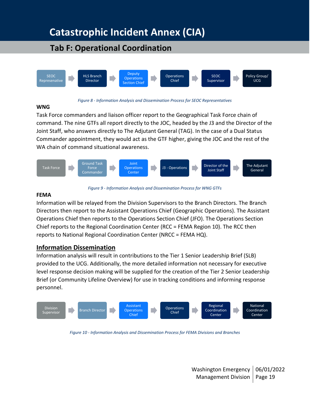## **Tab F: Operational Coordination**



#### *Figure 8 - Information Analysis and Dissemination Process for SEOC Representatives*

#### **WNG**

Task Force commanders and liaison officer report to the Geographical Task Force chain of command. The nine GTFs all report directly to the JOC, headed by the J3 and the Director of the Joint Staff, who answers directly to The Adjutant General (TAG). In the case of a Dual Status Commander appointment, they would act as the GTF higher, giving the JOC and the rest of the WA chain of command situational awareness.



*Figure 9 - Information Analysis and Dissemination Process for WNG GTFs*

#### **FEMA**

Information will be relayed from the Division Supervisors to the Branch Directors. The Branch Directors then report to the Assistant Operations Chief (Geographic Operations). The Assistant Operations Chief then reports to the Operations Section Chief (JFO). The Operations Section Chief reports to the Regional Coordination Center (RCC = FEMA Region 10). The RCC then reports to National Regional Coordination Center (NRCC = FEMA HQ).

### <span id="page-18-0"></span>**Information Dissemination**

Information analysis will result in contributions to the Tier 1 Senior Leadership Brief (SLB) provided to the UCG. Additionally, the more detailed information not necessary for executive level response decision making will be supplied for the creation of the Tier 2 Senior Leadership Brief (or Community Lifeline Overview) for use in tracking conditions and informing response personnel.



*Figure 10 - Information Analysis and Dissemination Process for FEMA Divisions and Branches*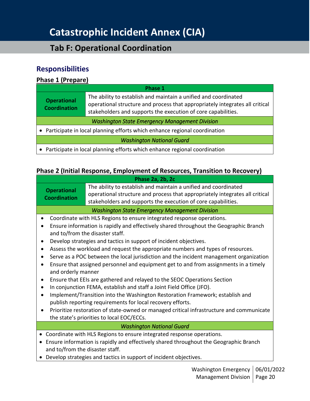## **Tab F: Operational Coordination**

### <span id="page-19-0"></span>**Responsibilities**

### <span id="page-19-1"></span>**Phase 1 (Prepare)**

| Phase 1                                                                     |                                                                                                                                                                                                                  |  |  |  |
|-----------------------------------------------------------------------------|------------------------------------------------------------------------------------------------------------------------------------------------------------------------------------------------------------------|--|--|--|
| <b>Operational</b><br><b>Coordination</b>                                   | The ability to establish and maintain a unified and coordinated<br>operational structure and process that appropriately integrates all critical<br>stakeholders and supports the execution of core capabilities. |  |  |  |
| <b>Washington State Emergency Management Division</b>                       |                                                                                                                                                                                                                  |  |  |  |
| • Participate in local planning efforts which enhance regional coordination |                                                                                                                                                                                                                  |  |  |  |
| <b>Washington National Guard</b>                                            |                                                                                                                                                                                                                  |  |  |  |
| • Participate in local planning efforts which enhance regional coordination |                                                                                                                                                                                                                  |  |  |  |

### <span id="page-19-2"></span>**Phase 2 (Initial Response, Employment of Resources, Transition to Recovery)**

| Phase 2a, 2b, 2c                                                                                                                                         |                                                                                                                                                 |  |  |  |
|----------------------------------------------------------------------------------------------------------------------------------------------------------|-------------------------------------------------------------------------------------------------------------------------------------------------|--|--|--|
| <b>Operational</b>                                                                                                                                       | The ability to establish and maintain a unified and coordinated<br>operational structure and process that appropriately integrates all critical |  |  |  |
| <b>Coordination</b>                                                                                                                                      | stakeholders and supports the execution of core capabilities.                                                                                   |  |  |  |
| <b>Washington State Emergency Management Division</b>                                                                                                    |                                                                                                                                                 |  |  |  |
| Coordinate with HLS Regions to ensure integrated response operations.                                                                                    |                                                                                                                                                 |  |  |  |
| Ensure information is rapidly and effectively shared throughout the Geographic Branch<br>and to/from the disaster staff.                                 |                                                                                                                                                 |  |  |  |
|                                                                                                                                                          | Develop strategies and tactics in support of incident objectives.                                                                               |  |  |  |
|                                                                                                                                                          | Assess the workload and request the appropriate numbers and types of resources.                                                                 |  |  |  |
| Serve as a POC between the local jurisdiction and the incident management organization                                                                   |                                                                                                                                                 |  |  |  |
| Ensure that assigned personnel and equipment get to and from assignments in a timely<br>$\bullet$<br>and orderly manner                                  |                                                                                                                                                 |  |  |  |
| Ensure that EEIs are gathered and relayed to the SEOC Operations Section<br>$\bullet$                                                                    |                                                                                                                                                 |  |  |  |
| In conjunction FEMA, establish and staff a Joint Field Office (JFO).                                                                                     |                                                                                                                                                 |  |  |  |
| Implement/Transition into the Washington Restoration Framework; establish and<br>$\bullet$<br>publish reporting requirements for local recovery efforts. |                                                                                                                                                 |  |  |  |
| Prioritize restoration of state-owned or managed critical infrastructure and communicate                                                                 |                                                                                                                                                 |  |  |  |
|                                                                                                                                                          | the state's priorities to local EOC/ECCs.                                                                                                       |  |  |  |
| <b>Washington National Guard</b>                                                                                                                         |                                                                                                                                                 |  |  |  |
|                                                                                                                                                          | Coordinate with HLS Regions to ensure integrated response operations.                                                                           |  |  |  |
| Ensure information is rapidly and effectively shared throughout the Geographic Branch                                                                    |                                                                                                                                                 |  |  |  |
| and to/from the disaster staff.                                                                                                                          |                                                                                                                                                 |  |  |  |
| Develop strategies and tactics in support of incident objectives.                                                                                        |                                                                                                                                                 |  |  |  |
|                                                                                                                                                          | $\begin{array}{c} \n\end{array}$                                                                                                                |  |  |  |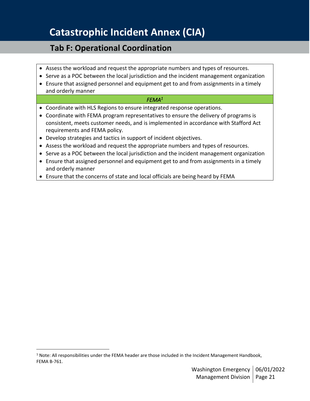## **Tab F: Operational Coordination**

- Assess the workload and request the appropriate numbers and types of resources.
- Serve as a POC between the local jurisdiction and the incident management organization
- Ensure that assigned personnel and equipment get to and from assignments in a timely and orderly manner

### *FEMA<sup>1</sup>*

- Coordinate with HLS Regions to ensure integrated response operations.
- Coordinate with FEMA program representatives to ensure the delivery of programs is consistent, meets customer needs, and is implemented in accordance with Stafford Act requirements and FEMA policy.
- Develop strategies and tactics in support of incident objectives.
- Assess the workload and request the appropriate numbers and types of resources.
- Serve as a POC between the local jurisdiction and the incident management organization
- Ensure that assigned personnel and equipment get to and from assignments in a timely and orderly manner
- Ensure that the concerns of state and local officials are being heard by FEMA

 $1$  Note: All responsibilities under the FEMA header are those included in the Incident Management Handbook, FEMA B-761.